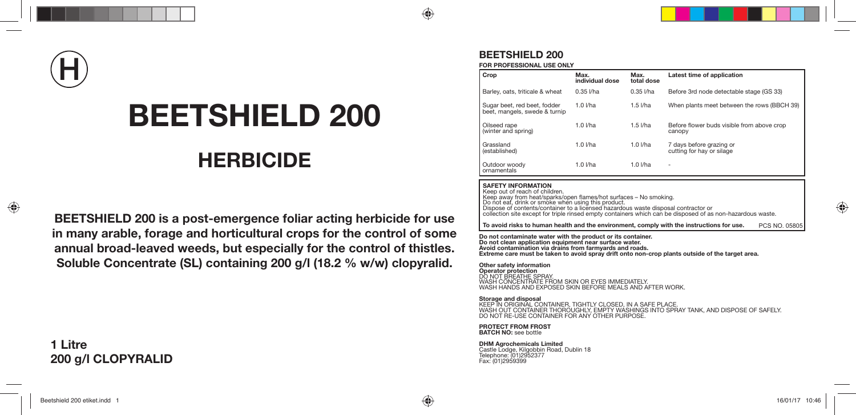# **H**

# **BEETSHIELD 200**

# **HERBICIDE**

**BEETSHIELD 200 is a post-emergence foliar acting herbicide for use in many arable, forage and horticultural crops for the control of some annual broad-leaved weeds, but especially for the control of thistles. Soluble Concentrate (SL) containing 200 g/l (18.2 % w/w) clopyralid.**

## **1 Litre 200 g/l CLOPYRALID**

### **BEETSHIELD 200**

**FOR PROFESSIONAL USE ONLY**

| Crop                                                          | Max.<br>individual dose | Max.<br>total dose | Latest time of application                            |
|---------------------------------------------------------------|-------------------------|--------------------|-------------------------------------------------------|
| Barley, oats, triticale & wheat                               | $0.35$ I/ha             | $0.35$ I/ha        | Before 3rd node detectable stage (GS 33)              |
| Sugar beet, red beet, fodder<br>beet, mangels, swede & turnip | $1.0$ I/ha              | $1.5$ $I/ha$       | When plants meet between the rows (BBCH 39)           |
| Oilseed rape<br>(winter and spring)                           | $1.0$ $I/ha$            | $1.5$ $I/ha$       | Before flower buds visible from above crop<br>canopy  |
| Grassland<br>(established)                                    | $1.0$ $I/ha$            | $1.0$ I/ha         | 7 days before grazing or<br>cutting for hay or silage |
| Outdoor woody<br>ornamentals                                  | $1.0$ $I/ha$            | $1.0$ $I/ha$       |                                                       |

#### **SAFETY INFORMATION**

Keep out of reach of children. Keep away from heat/sparks/open flames/hot surfaces - No smoking. Do not eat, drink or smoke when using this product. Dispose of contents/container to a licensed hazardous waste disposal contractor or collection site except for triple rinsed empty containers which can be disposed of as non-hazardous waste.

**To avoid risks to human health and the environment, comply with the instructions for use.** PCS NO. 05805

**Do not contaminate water with the product or its container. Do not clean application equipment near surface water. Avoid contamination via drains from farmyards and roads. Extreme care must be taken to avoid spray drift onto non-crop plants outside of the target area.**

**Other safety information Operator protection** DO NOT BREATHE SPRAY.<br>WASH CONCENTRATE FROM SKIN OR EYES IMMEDIATELY.<br>WASH HANDS AND EXPOSED SKIN BEFORE MEALS AND AFTER WORK.

**Storage and disposal** KEEP IN ORIGINAL CONTAINER, TIGHTLY CLOSED, IN A SAFE PLACE. WASH OUT CONTAINER THOROUGHLY, EMPTY WASHINGS INTO SPRAY TANK, AND DISPOSE OF SAFELY. DO NOT RE-USE CONTAINER FOR ANY OTHER PURPOSE.

**PROTECT FROM FROST BATCH NO:** see bottle

**DHM Agrochemicals Limited** Castle Lodge, Kilgobbin Road, Dublin 18 Telephone: (01)2952377 Fax: (01)2959399

⊕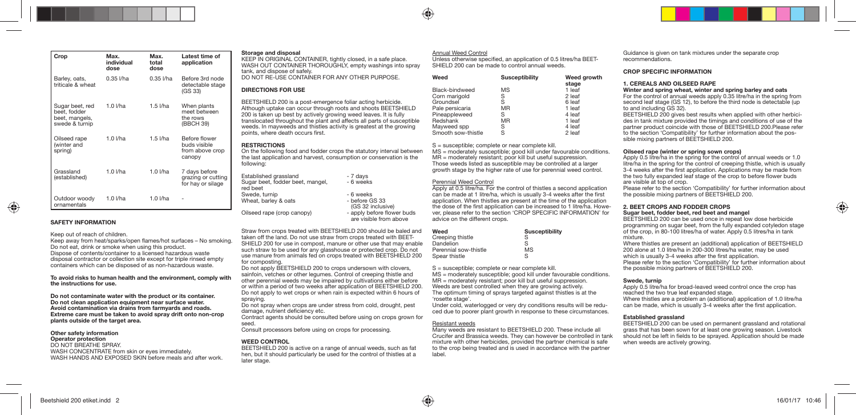| Crop                                                                | Max.<br>individual<br>dose | Max.<br>total<br>dose | Latest time of<br>application                              |
|---------------------------------------------------------------------|----------------------------|-----------------------|------------------------------------------------------------|
| Barley, oats,<br>triticale & wheat                                  | $0.35$ I/ha                | $0.35$ $1/ha$         | Before 3rd node<br>detectable stage<br>(GS 33)             |
| Sugar beet, red<br>beet, fodder<br>beet, mangels,<br>swede & turnip | $1.0$ I/ha                 | $1.5$ I/ha            | When plants<br>meet between<br>the rows<br>(BBCH 39)       |
| Oilseed rape<br>(winter and<br>spring)                              | $1.0$ I/ha                 | $1.5$ I/ha            | Before flower<br>huds visible<br>from above crop<br>canopy |
| Grassland<br>(established)                                          | $1.0$ I/ha                 | $1.0$ I/ha            | 7 days before<br>grazing or cutting<br>for hay or silage   |
| Outdoor woody<br>ornamentals                                        | $1.0$ I/ha                 | $1.0$ I/ha            |                                                            |

#### **SAFETY INFORMATION**

#### Keep out of reach of children.

Keep away from heat/sparks/open flames/hot surfaces - No smoking. Do not eat, drink or smoke when using this product. Dispose of contents/container to a licensed hazardous waste disposal contractor or collection site except for triple rinsed empty containers which can be disposed of as non-hazardous waste.

**To avoid risks to human health and the environment, comply with the instructions for use.**

**Do not contaminate water with the product or its container. Do not clean application equipment near surface water. Avoid contamination via drains from farmyards and roads. Extreme care must be taken to avoid spray drift onto non-crop plants outside of the target area.**

#### **Other safety information**

#### **Operator protection** DO NOT BREATHE SPRAY. WASH CONCENTRATE from skin or eyes immediately. WASH HANDS AND EXPOSED SKIN before meals and after work.

#### **Storage and disposal**

KEEP IN ORIGINAL CONTAINER, tightly closed, in a safe place. WASH OUT CONTAINER THOROUGHLY, empty washings into spray tank, and dispose of safely. DO NOT RE-USE CONTAINER FOR ANY OTHER PURPOSE.

#### **DIRECTIONS FOR USE**

BEETSHIELD 200 is a post-emergence foliar acting herbicide. Although uptake can occur through roots and shoots BEETSHIELD 200 is taken up best by actively growing weed leaves. It is fully translocated throughout the plant and affects all parts of susceptible weeds. In mayweeds and thistles activity is greatest at the growing points, where death occurs first.

#### **RESTRICTIONS**

On the following food and fodder crops the statutory interval between the last application and harvest, consumption or conservation is the following:

| Established grassland                        | - 7 days                                             |
|----------------------------------------------|------------------------------------------------------|
| Sugar beet, fodder beet, mangel,<br>red beet | - 6 weeks                                            |
| Swede, turnip                                | - 6 weeks                                            |
| Wheat, barley & oats                         | - before GS 33<br>(GS 32 inclusive)                  |
| Oilseed rape (crop canopy)                   | - apply before flower buds<br>are visible from above |
|                                              |                                                      |

Straw from crops treated with BEETSHIELD 200 should be baled and taken off the land. Do not use straw from crops treated with BEET-SHIELD 200 for use in compost, manure or other use that may enable such straw to be used for any glasshouse or protected crop. Do not use manure from animals fed on crops treated with BEETSHIELD 200 for composting.

Do not apply BEETSHIELD 200 to crops undersown with clovers, sainfoin, vetches or other legumes. Control of creeping thistle and other perennial weeds may be impaired by cultivations either before or within a period of two weeks after application of BEETSHIELD 200. Do not apply to wet crops or when rain is expected within 6 hours of spraying.

Do not spray when crops are under stress from cold, drought, pest damage, nutrient deficiency etc.

Contract agents should be consulted before using on crops grown for seed.

Consult processors before using on crops for processing.

#### **WEED CONTROL**

BEETSHIELD 200 is active on a range of annual weeds, such as fat hen, but it should particularly be used for the control of thistles at a later stage.

#### Annual Weed Control

Unless otherwise specified, an application of 0.5 litres/ha BEET-SHIELD 200 can be made to control annual weeds.

| Weed               | <b>Susceptibility</b> | Weed growth<br>stage |
|--------------------|-----------------------|----------------------|
| Black-bindweed     | MS                    | 1 leaf               |
| Corn marigold      | S                     | 2 leaf               |
| Groundsel          | S                     | 6 leaf               |
| Pale persicaria    | MR                    | 1 leaf               |
| Pineappleweed      | S                     | 4 leaf               |
| Redshank           | MR                    | 1 leaf               |
| Mayweed spp        | S                     | 4 leaf               |
| Smooth sow-thistle | S                     | 2 leaf               |

S = susceptible; complete or near complete kill.

MS = moderately susceptible; good kill under favourable conditions. MR = moderately resistant; poor kill but useful suppression. Those weeds listed as susceptible may be controlled at a larger growth stage by the higher rate of use for perennial weed control.

#### Perennial Weed Control

Apply at 0.5 litre/ha. For the control of thistles a second application can be made at 1 litre/ha, which is usually 3-4 weeks after the first application. When thistles are present at the time of the application the dose of the first application can be increased to 1 litre/ha. However, please refer to the section 'CROP SPECIFIC INFORMATION' for advice on the different crops.

| Weed                  | <b>Susceptibility</b> |
|-----------------------|-----------------------|
| Creeping thistle      | S                     |
| Dandelion             | S                     |
| Perennial sow-thistle | MS                    |
| Spear thistle         | S                     |

S = susceptible; complete or near complete kill.

MS = moderately susceptible; good kill under favourable conditions. MR = moderately resistant; poor kill but useful suppression. Weeds are best controlled when they are growing actively. The optimum timing of sprays targeted against thistles is at the 'rosette stage'.

Under cold, waterlogged or very dry conditions results will be reduced due to poorer plant growth in response to these circumstances.

#### Resistant weeds

Many weeds are resistant to BEETSHIELD 200. These include all Crucifer and Brassica weeds. They can however be controlled in tank mixture with other herbicides, provided the partner chemical is safe to the crop being treated and is used in accordance with the partner label.

Guidance is given on tank mixtures under the separate crop recommendations.

#### **CROP SPECIFIC INFORMATION**

#### **1. CEREALS AND OILSEED RAPE**

**Winter and spring wheat, winter and spring barley and oats**

For the control of annual weeds apply 0.35 litre/ha in the spring from second leaf stage (GS 12), to before the third node is detectable (up to and including GS 32).

BEETSHIELD 200 gives best results when applied with other herbicides in tank mixture provided the timings and conditions of use of the partner product coincide with those of BEETSHIELD 200.Please refer to the section 'Compatibility' for further information about the possible mixing partners of BEETSHIELD 200.

#### **Oilseed rape (winter or spring sown crops)**

Apply 0.5 litre/ha in the spring for the control of annual weeds or 1.0 litre/ha in the spring for the control of creeping thistle, which is usually 3-4 weeks after the first application. Applications may be made from the two fully expanded leaf stage of the crop to before flower buds are visible at top of crop.

Please refer to the section 'Compatibility' for further information about the possible mixing partners of BEETSHIELD 200.

#### **2. BEET CROPS AND FODDER CROPS Sugar beet, fodder beet, red beet and mangel**

BEETSHIELD 200 can be used once in repeat low dose herbicide programming on sugar beet, from the fully expanded cotyledon stage of the crop, in 80-100 litres/ha of water. Apply 0.5 litres/ha in tank mixture.

Where thistles are present an (additional) application of BEETSHIELD 200 alone at 1.0 litre/ha in 200-300 litres/ha water, may be used which is usually 3-4 weeks after the first application. Please refer to the section 'Compatibility' for further information about the possible mixing partners of BEETSHIELD 200.

#### **Swede, turnip**

Apply 0.5 litre/ha for broad-leaved weed control once the crop has reached the two true leaf expanded stage. Where thistles are a problem an (additional) application of 1.0 litre/ha can be made, which is usually 3-4 weeks after the first application.

#### **Established grassland**

BEETSHIELD 200 can be used on permanent grassland and rotational grass that has been sown for at least one growing season. Livestock should not be left in fields to be sprayed. Application should be made when weeds are actively growing.

⊕